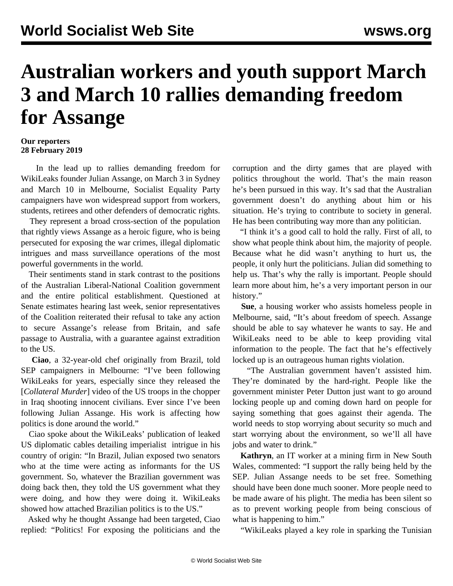## **Australian workers and youth support March 3 and March 10 rallies demanding freedom for Assange**

## **Our reporters 28 February 2019**

 In the lead up to rallies demanding freedom for WikiLeaks founder Julian Assange, on March 3 in Sydney and March 10 in Melbourne, Socialist Equality Party campaigners have won widespread support from workers, students, retirees and other defenders of democratic rights.

 They represent a broad cross-section of the population that rightly views Assange as a heroic figure, who is being persecuted for exposing the war crimes, illegal diplomatic intrigues and mass surveillance operations of the most powerful governments in the world.

 Their sentiments stand in stark contrast to the positions of the Australian Liberal-National Coalition government and the entire political establishment. Questioned at Senate estimates hearing last week, senior representatives of the Coalition reiterated their refusal to take any action to secure Assange's release from Britain, and safe passage to Australia, with a guarantee against extradition to the US.

 **Ciao**, a 32-year-old chef originally from Brazil, told SEP campaigners in Melbourne: "I've been following WikiLeaks for years, especially since they released the [*Collateral Murder*] video of the US troops in the chopper in Iraq shooting innocent civilians. Ever since I've been following Julian Assange. His work is affecting how politics is done around the world."

 Ciao spoke about the WikiLeaks' publication of leaked US diplomatic cables detailing [imperialist intrigue](/en/articles/2010/12/braz-d14.html) in his country of origin: "In Brazil, Julian exposed two senators who at the time were acting as informants for the US government. So, whatever the Brazilian government was doing back then, they told the US government what they were doing, and how they were doing it. WikiLeaks showed how attached Brazilian politics is to the US."

 Asked why he thought Assange had been targeted, Ciao replied: "Politics! For exposing the politicians and the corruption and the dirty games that are played with politics throughout the world. That's the main reason he's been pursued in this way. It's sad that the Australian government doesn't do anything about him or his situation. He's trying to contribute to society in general. He has been contributing way more than any politician.

 "I think it's a good call to hold the rally. First of all, to show what people think about him, the majority of people. Because what he did wasn't anything to hurt us, the people, it only hurt the politicians. Julian did something to help us. That's why the rally is important. People should learn more about him, he's a very important person in our history."

 **Sue**, a housing worker who assists homeless people in Melbourne, said, "It's about freedom of speech. Assange should be able to say whatever he wants to say. He and WikiLeaks need to be able to keep providing vital information to the people. The fact that he's effectively locked up is an outrageous human rights violation.

 "The Australian government haven't assisted him. They're dominated by the hard-right. People like the government minister Peter Dutton just want to go around locking people up and coming down hard on people for saying something that goes against their agenda. The world needs to stop worrying about security so much and start worrying about the environment, so we'll all have jobs and water to drink."

 **Kathryn**, an IT worker at a mining firm in New South Wales, commented: "I support the rally being held by the SEP. Julian Assange needs to be set free. Something should have been done much sooner. More people need to be made aware of his plight. The media has been silent so as to prevent working people from being conscious of what is happening to him."

"WikiLeaks played a key role in sparking the Tunisian